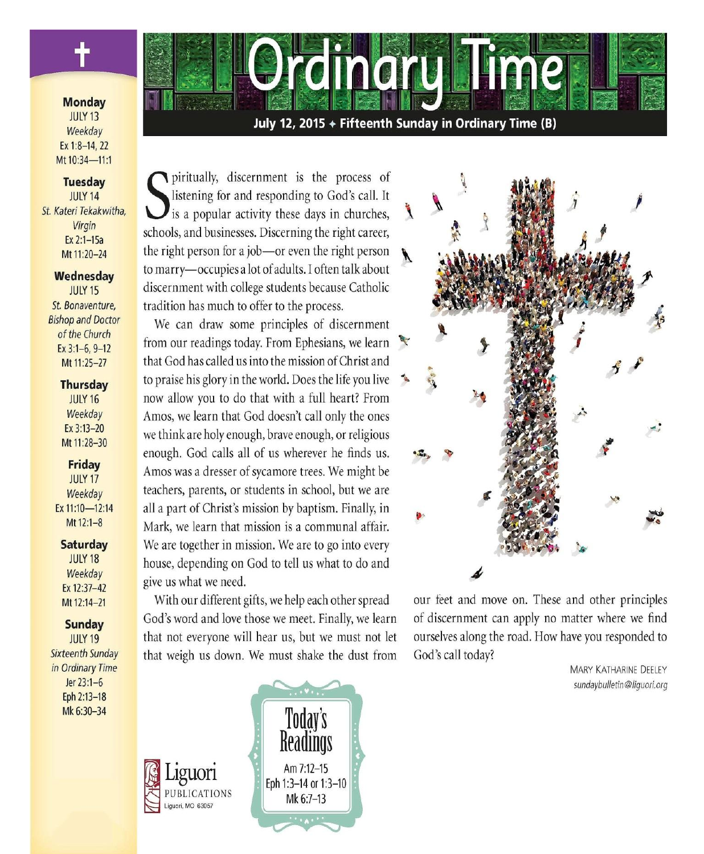

#### **Monday JULY 13** Weekday Ex 1:8-14, 22 Mt 10:34-11:1

#### **Tuesday** JULY 14 St. Kateri Tekakwitha. Virgin Ex 2:1-15a

Mt 11:20-24

#### Wednesday **JULY 15** St. Bonaventure. **Bishop and Doctor** of the Church Ex  $3:1-6, 9-12$

# Mt 11:25-27

### **Thursday**

**JULY 16** Weekday Ex 3:13-20 Mt 11:28-30

### Friday

**JULY 17** Weekday Ex 11:10-12:14 Mt 12:1-8

### **Saturday**

**JULY 18** Weekday Ex 12:37-42 Mt 12:14-21

### Sunday

**JULY 19 Sixteenth Sunday** in Ordinary Time Jer 23:1-6 Eph 2:13-18 Mk 6:30-34

July 12, 2015 + Fifteenth Sunday in Ordinary Time (B)

**1011** 

piritually, discernment is the process of listening for and responding to God's call. It is a popular activity these days in churches, schools, and businesses. Discerning the right career, the right person for a job-or even the right person to marry-occupies a lot of adults. I often talk about discernment with college students because Catholic tradition has much to offer to the process.

We can draw some principles of discernment from our readings today. From Ephesians, we learn that God has called us into the mission of Christ and to praise his glory in the world. Does the life you live  $\rightarrow$ now allow you to do that with a full heart? From Amos, we learn that God doesn't call only the ones we think are holy enough, brave enough, or religious enough. God calls all of us wherever he finds us. Amos was a dresser of sycamore trees. We might be teachers, parents, or students in school, but we are all a part of Christ's mission by baptism. Finally, in Mark, we learn that mission is a communal affair. We are together in mission. We are to go into every house, depending on God to tell us what to do and give us what we need.

With our different gifts, we help each other spread God's word and love those we meet. Finally, we learn that not everyone will hear us, but we must not let that weigh us down. We must shake the dust from

PUBLICATIONS

Liguori, MO 63057





our feet and move on. These and other principles of discernment can apply no matter where we find ourselves along the road. How have you responded to God's call today?

> **MARY KATHARINE DEELEY** sundaybulletin@liquori.org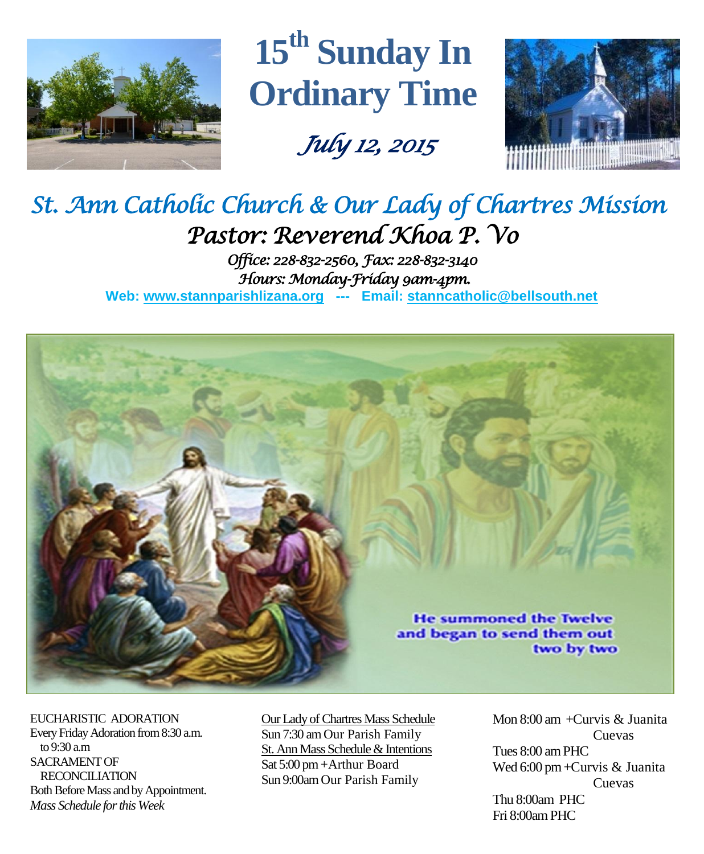

**15 th Sunday In Ordinary Time**

 *July 12, 2015* 



# *St. Ann Catholic Church & Our Lady of Chartres Mission Pastor: Reverend Khoa P. Vo*

*Office: 228-832-2560, Fax: 228-832-3140 Hours: Monday-Friday 9am-4pm.*  **Web: www.stannparishlizana.org --- Email: [stanncatholic@bellsouth.net](mailto:stanncatholic@bellsouth.net)**



EUCHARISTIC ADORATION Every Friday Adoration from 8:30 a.m. to 9:30 a.m SACRAMENT OF RECONCILIATION Both Before Mass and by Appointment. *Mass Schedule for this Week* 

Our Lady of Chartres Mass Schedule Sun 7:30 am Our Parish Family St. Ann Mass Schedule & Intentions Sat 5:00 pm +Arthur Board Sun 9:00am Our Parish Family

Mon  $8:00$  am  $+C$ urvis & Iuanita Cuevas Tues 8:00 am PHC Wed 6:00 pm +Curvis & Juanita Cuevas Thu 8:00am PHC Fri 8:00amPHC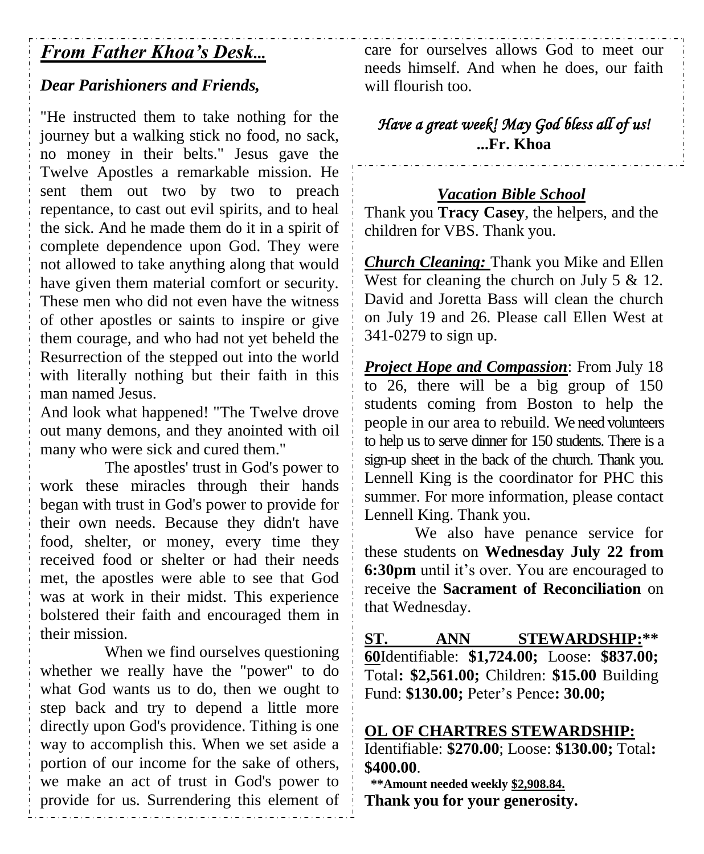# *From Father Khoa's Desk...*

# *Dear Parishioners and Friends,*

"He instructed them to take nothing for the journey but a walking stick no food, no sack, no money in their belts." Jesus gave the Twelve Apostles a remarkable mission. He sent them out two by two to preach repentance, to cast out evil spirits, and to heal the sick. And he made them do it in a spirit of complete dependence upon God. They were not allowed to take anything along that would have given them material comfort or security. These men who did not even have the witness of other apostles or saints to inspire or give them courage, and who had not yet beheld the Resurrection of the stepped out into the world with literally nothing but their faith in this man named Jesus.

And look what happened! "The Twelve drove out many demons, and they anointed with oil many who were sick and cured them."

The apostles' trust in God's power to work these miracles through their hands began with trust in God's power to provide for their own needs. Because they didn't have food, shelter, or money, every time they received food or shelter or had their needs met, the apostles were able to see that God was at work in their midst. This experience bolstered their faith and encouraged them in their mission.

When we find ourselves questioning whether we really have the "power" to do what God wants us to do, then we ought to step back and try to depend a little more directly upon God's providence. Tithing is one way to accomplish this. When we set aside a portion of our income for the sake of others, we make an act of trust in God's power to provide for us. Surrendering this element of care for ourselves allows God to meet our needs himself. And when he does, our faith will flourish too.

*Have a great week! May God bless all of us!*  **...Fr. Khoa**

### *Vacation Bible School*

Thank you **Tracy Casey**, the helpers, and the children for VBS. Thank you.

*Church Cleaning:* Thank you Mike and Ellen West for cleaning the church on July 5 & 12. David and Joretta Bass will clean the church on July 19 and 26. Please call Ellen West at 341-0279 to sign up.

*Project Hope and Compassion*: From July 18 to 26, there will be a big group of 150 students coming from Boston to help the people in our area to rebuild. We need volunteers to help us to serve dinner for 150 students. There is a sign-up sheet in the back of the church. Thank you. Lennell King is the coordinator for PHC this summer. For more information, please contact Lennell King. Thank you.

We also have penance service for these students on **Wednesday July 22 from 6:30pm** until it's over. You are encouraged to receive the **Sacrament of Reconciliation** on that Wednesday.

**ST. ANN STEWARDSHIP:\*\* 60**Identifiable: **\$1,724.00;** Loose: **\$837.00;**  Total**: \$2,561.00;** Children: **\$15.00** Building Fund: **\$130.00;** Peter's Pence**: 30.00;** 

### **OL OF CHARTRES STEWARDSHIP:**

Identifiable: **\$270.00**; Loose: **\$130.00;** Total**: \$400.00**.

 **\*\*Amount needed weekly \$2,908.84. Thank you for your generosity.**